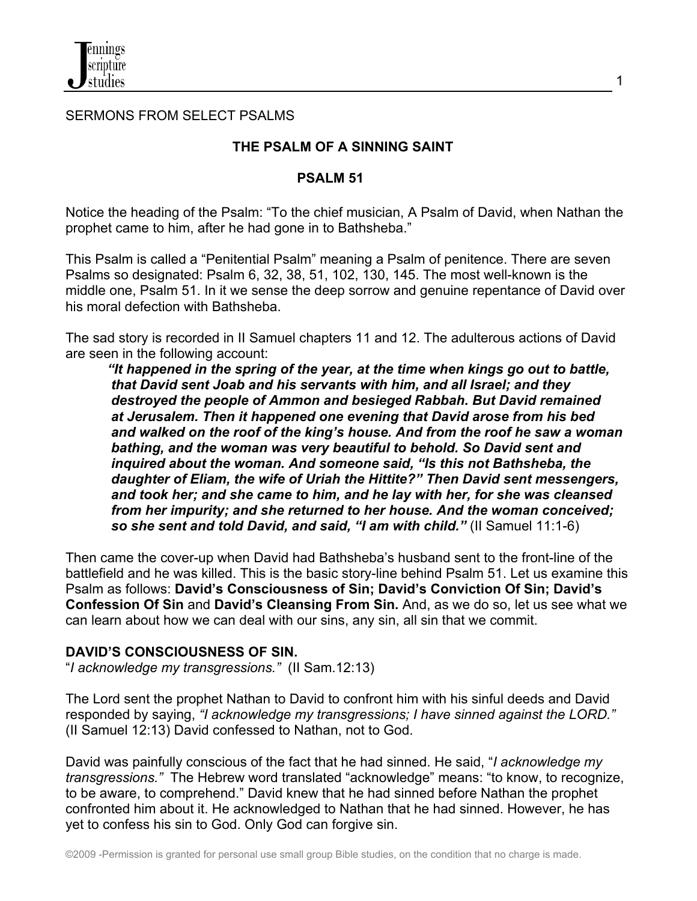#### SERMONS FROM SELECT PSALMS

## **THE PSALM OF A SINNING SAINT**

#### **PSALM 51**

Notice the heading of the Psalm: "To the chief musician, A Psalm of David, when Nathan the prophet came to him, after he had gone in to Bathsheba."

This Psalm is called a "Penitential Psalm" meaning a Psalm of penitence. There are seven Psalms so designated: Psalm 6, 32, 38, 51, 102, 130, 145. The most well-known is the middle one, Psalm 51. In it we sense the deep sorrow and genuine repentance of David over his moral defection with Bathsheba.

The sad story is recorded in II Samuel chapters 11 and 12. The adulterous actions of David are seen in the following account:

 *"It happened in the spring of the year, at the time when kings go out to battle, that David sent Joab and his servants with him, and all Israel; and they destroyed the people of Ammon and besieged Rabbah. But David remained at Jerusalem. Then it happened one evening that David arose from his bed and walked on the roof of the king's house. And from the roof he saw a woman bathing, and the woman was very beautiful to behold. So David sent and inquired about the woman. And someone said, "Is this not Bathsheba, the daughter of Eliam, the wife of Uriah the Hittite?" Then David sent messengers, and took her; and she came to him, and he lay with her, for she was cleansed from her impurity; and she returned to her house. And the woman conceived; so she sent and told David, and said, "I am with child."* (II Samuel 11:1-6)

Then came the cover-up when David had Bathsheba's husband sent to the front-line of the battlefield and he was killed. This is the basic story-line behind Psalm 51. Let us examine this Psalm as follows: **David's Consciousness of Sin; David's Conviction Of Sin; David's Confession Of Sin** and **David's Cleansing From Sin.** And, as we do so, let us see what we can learn about how we can deal with our sins, any sin, all sin that we commit.

### **DAVID'S CONSCIOUSNESS OF SIN.**

"*I acknowledge my transgressions."* (II Sam.12:13)

The Lord sent the prophet Nathan to David to confront him with his sinful deeds and David responded by saying, *"I acknowledge my transgressions; I have sinned against the LORD."*  (II Samuel 12:13) David confessed to Nathan, not to God.

David was painfully conscious of the fact that he had sinned. He said, "*I acknowledge my transgressions."* The Hebrew word translated "acknowledge" means: "to know, to recognize, to be aware, to comprehend." David knew that he had sinned before Nathan the prophet confronted him about it. He acknowledged to Nathan that he had sinned. However, he has yet to confess his sin to God. Only God can forgive sin.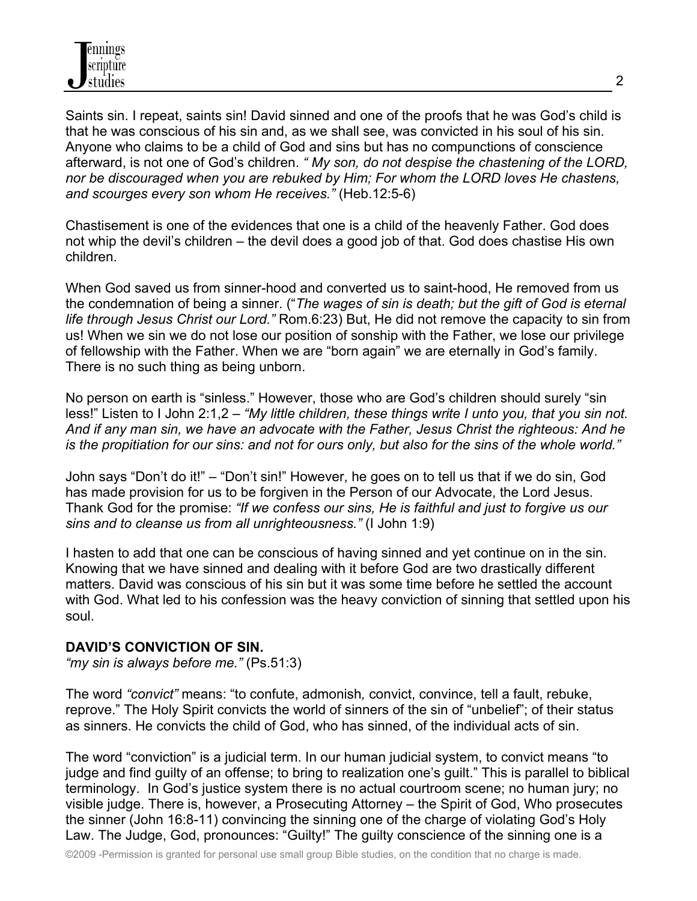

Saints sin. I repeat, saints sin! David sinned and one of the proofs that he was God's child is that he was conscious of his sin and, as we shall see, was convicted in his soul of his sin. Anyone who claims to be a child of God and sins but has no compunctions of conscience afterward, is not one of God's children. *" My son, do not despise the chastening of the LORD, nor be discouraged when you are rebuked by Him; For whom the LORD loves He chastens, and scourges every son whom He receives."* (Heb.12:5-6)

Chastisement is one of the evidences that one is a child of the heavenly Father. God does not whip the devil's children – the devil does a good job of that. God does chastise His own children.

When God saved us from sinner-hood and converted us to saint-hood, He removed from us the condemnation of being a sinner. ("*The wages of sin is death; but the gift of God is eternal life through Jesus Christ our Lord."* Rom.6:23) But, He did not remove the capacity to sin from us! When we sin we do not lose our position of sonship with the Father, we lose our privilege of fellowship with the Father. When we are "born again" we are eternally in God's family. There is no such thing as being unborn.

No person on earth is "sinless." However, those who are God's children should surely "sin less!" Listen to I John 2:1,2 – *"My little children, these things write I unto you, that you sin not. And if any man sin, we have an advocate with the Father, Jesus Christ the righteous: And he is the propitiation for our sins: and not for ours only, but also for the sins of the whole world."*

John says "Don't do it!" – "Don't sin!" However, he goes on to tell us that if we do sin, God has made provision for us to be forgiven in the Person of our Advocate, the Lord Jesus. Thank God for the promise: *"If we confess our sins, He is faithful and just to forgive us our sins and to cleanse us from all unrighteousness."* (I John 1:9)

I hasten to add that one can be conscious of having sinned and yet continue on in the sin. Knowing that we have sinned and dealing with it before God are two drastically different matters. David was conscious of his sin but it was some time before he settled the account with God. What led to his confession was the heavy conviction of sinning that settled upon his soul.

### **DAVID'S CONVICTION OF SIN.**

*"my sin is always before me."* (Ps.51:3)

The word *"convict"* means: "to confute, admonish*,* convict, convince, tell a fault, rebuke, reprove." The Holy Spirit convicts the world of sinners of the sin of "unbelief"; of their status as sinners. He convicts the child of God, who has sinned, of the individual acts of sin.

The word "conviction" is a judicial term. In our human judicial system, to convict means "to judge and find guilty of an offense; to bring to realization one's guilt." This is parallel to biblical terminology. In God's justice system there is no actual courtroom scene; no human jury; no visible judge. There is, however, a Prosecuting Attorney – the Spirit of God, Who prosecutes the sinner (John 16:8-11) convincing the sinning one of the charge of violating God's Holy Law. The Judge, God, pronounces: "Guilty!" The guilty conscience of the sinning one is a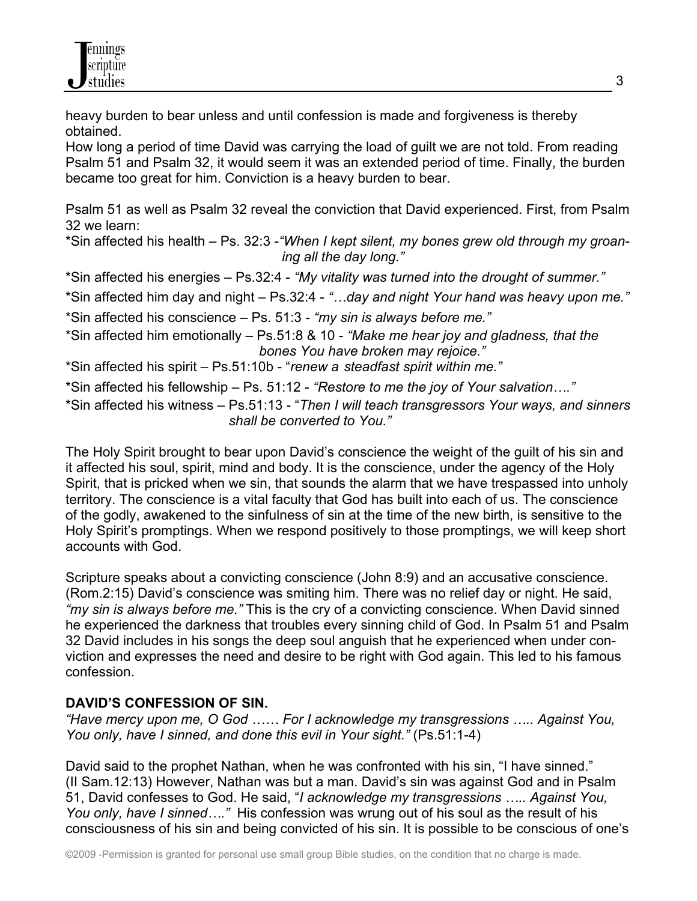heavy burden to bear unless and until confession is made and forgiveness is thereby obtained.

How long a period of time David was carrying the load of guilt we are not told. From reading Psalm 51 and Psalm 32, it would seem it was an extended period of time. Finally, the burden became too great for him. Conviction is a heavy burden to bear.

Psalm 51 as well as Psalm 32 reveal the conviction that David experienced. First, from Psalm 32 we learn:

\*Sin affected his health – Ps. 32:3 -*"When I kept silent, my bones grew old through my groan ing all the day long."*

\*Sin affected his energies – Ps.32:4 - *"My vitality was turned into the drought of summer."*

\*Sin affected him day and night – Ps.32:4 - *"…day and night Your hand was heavy upon me."*

- \*Sin affected his conscience Ps. 51:3 *"my sin is always before me."*
- \*Sin affected him emotionally Ps.51:8 & 10 *"Make me hear joy and gladness, that the bones You have broken may rejoice."*

\*Sin affected his spirit – Ps.51:10b - "*renew a steadfast spirit within me."*

\*Sin affected his fellowship – Ps. 51:12 - *"Restore to me the joy of Your salvation…."*

\*Sin affected his witness – Ps.51:13 - "*Then I will teach transgressors Your ways, and sinners shall be converted to You."*

The Holy Spirit brought to bear upon David's conscience the weight of the guilt of his sin and it affected his soul, spirit, mind and body. It is the conscience, under the agency of the Holy Spirit, that is pricked when we sin, that sounds the alarm that we have trespassed into unholy territory. The conscience is a vital faculty that God has built into each of us. The conscience of the godly, awakened to the sinfulness of sin at the time of the new birth, is sensitive to the Holy Spirit's promptings. When we respond positively to those promptings, we will keep short accounts with God.

Scripture speaks about a convicting conscience (John 8:9) and an accusative conscience. (Rom.2:15) David's conscience was smiting him. There was no relief day or night. He said, *"my sin is always before me."* This is the cry of a convicting conscience. When David sinned he experienced the darkness that troubles every sinning child of God. In Psalm 51 and Psalm 32 David includes in his songs the deep soul anguish that he experienced when under conviction and expresses the need and desire to be right with God again. This led to his famous confession.

# **DAVID'S CONFESSION OF SIN.**

*"Have mercy upon me, O God …… For I acknowledge my transgressions ….. Against You, You only, have I sinned, and done this evil in Your sight."* (Ps.51:1-4)

David said to the prophet Nathan, when he was confronted with his sin, "I have sinned." (II Sam.12:13) However, Nathan was but a man. David's sin was against God and in Psalm 51, David confesses to God. He said, "*I acknowledge my transgressions ….. Against You, You only, have I sinned…."* His confession was wrung out of his soul as the result of his consciousness of his sin and being convicted of his sin. It is possible to be conscious of one's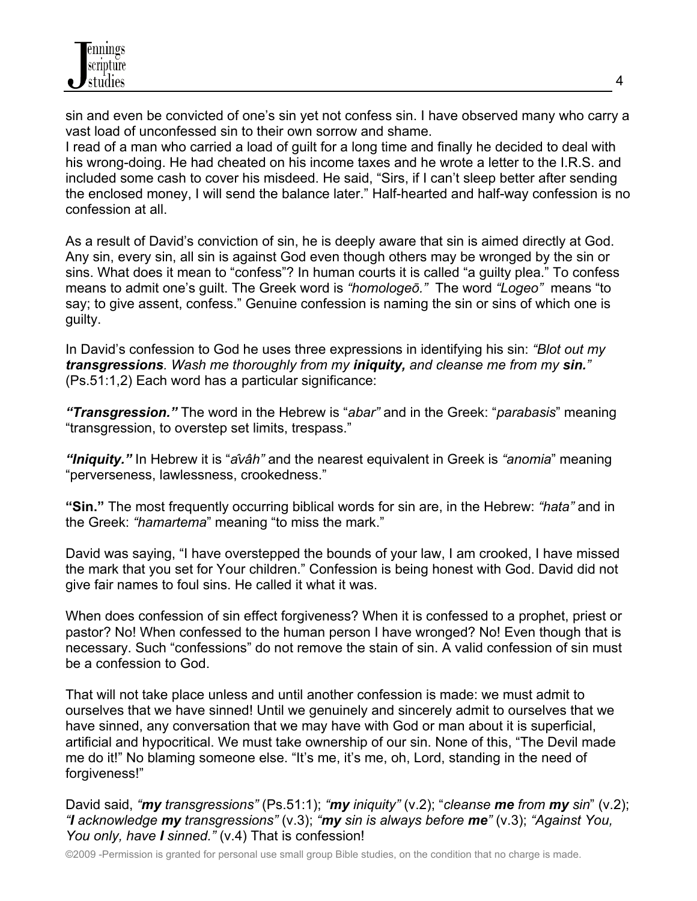sin and even be convicted of one's sin yet not confess sin. I have observed many who carry a vast load of unconfessed sin to their own sorrow and shame.

I read of a man who carried a load of guilt for a long time and finally he decided to deal with his wrong-doing. He had cheated on his income taxes and he wrote a letter to the I.R.S. and included some cash to cover his misdeed. He said, "Sirs, if I can't sleep better after sending the enclosed money, I will send the balance later." Half-hearted and half-way confession is no confession at all.

As a result of David's conviction of sin, he is deeply aware that sin is aimed directly at God. Any sin, every sin, all sin is against God even though others may be wronged by the sin or sins. What does it mean to "confess"? In human courts it is called "a guilty plea." To confess means to admit one's guilt. The Greek word is *"homologeō."* The word *"Logeo"* means "to say; to give assent, confess." Genuine confession is naming the sin or sins of which one is guilty.

In David's confession to God he uses three expressions in identifying his sin: *"Blot out my transgressions. Wash me thoroughly from my iniquity, and cleanse me from my sin."* (Ps.51:1,2) Each word has a particular significance:

*"Transgression."* The word in the Hebrew is "*abar"* and in the Greek: "*parabasis*" meaning "transgression, to overstep set limits, trespass."

*"Iniquity."* In Hebrew it is "*âvâh"* and the nearest equivalent in Greek is *"anomia*" meaning "perverseness, lawlessness, crookedness."

**"Sin."** The most frequently occurring biblical words for sin are, in the Hebrew: *"hata"* and in the Greek: *"hamartema*" meaning "to miss the mark."

David was saying, "I have overstepped the bounds of your law, I am crooked, I have missed the mark that you set for Your children." Confession is being honest with God. David did not give fair names to foul sins. He called it what it was.

When does confession of sin effect forgiveness? When it is confessed to a prophet, priest or pastor? No! When confessed to the human person I have wronged? No! Even though that is necessary. Such "confessions" do not remove the stain of sin. A valid confession of sin must be a confession to God.

That will not take place unless and until another confession is made: we must admit to ourselves that we have sinned! Until we genuinely and sincerely admit to ourselves that we have sinned, any conversation that we may have with God or man about it is superficial, artificial and hypocritical. We must take ownership of our sin. None of this, "The Devil made me do it!" No blaming someone else. "It's me, it's me, oh, Lord, standing in the need of forgiveness!"

David said, *"my transgressions"* (Ps.51:1); *"my iniquity"* (v.2); "*cleanse me from my sin*" (v.2); *"I acknowledge my transgressions"* (v.3); *"my sin is always before me"* (v.3); *"Against You, You only, have I sinned."* (v.4) That is confession!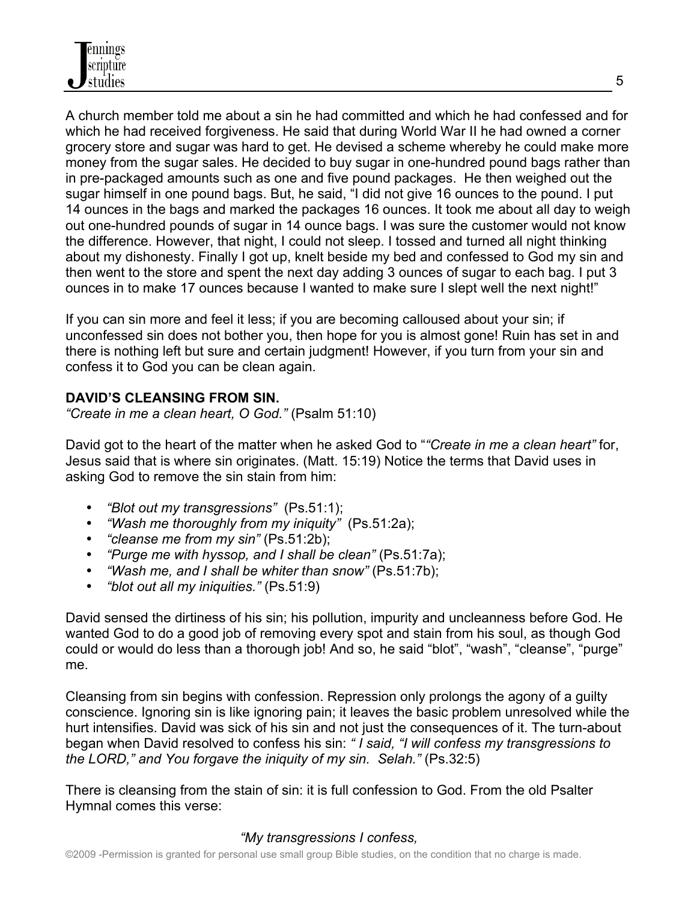A church member told me about a sin he had committed and which he had confessed and for which he had received forgiveness. He said that during World War II he had owned a corner grocery store and sugar was hard to get. He devised a scheme whereby he could make more money from the sugar sales. He decided to buy sugar in one-hundred pound bags rather than in pre-packaged amounts such as one and five pound packages. He then weighed out the sugar himself in one pound bags. But, he said, "I did not give 16 ounces to the pound. I put 14 ounces in the bags and marked the packages 16 ounces. It took me about all day to weigh out one-hundred pounds of sugar in 14 ounce bags. I was sure the customer would not know the difference. However, that night, I could not sleep. I tossed and turned all night thinking about my dishonesty. Finally I got up, knelt beside my bed and confessed to God my sin and then went to the store and spent the next day adding 3 ounces of sugar to each bag. I put 3 ounces in to make 17 ounces because I wanted to make sure I slept well the next night!"

If you can sin more and feel it less; if you are becoming calloused about your sin; if unconfessed sin does not bother you, then hope for you is almost gone! Ruin has set in and there is nothing left but sure and certain judgment! However, if you turn from your sin and confess it to God you can be clean again.

# **DAVID'S CLEANSING FROM SIN.**

*"Create in me a clean heart, O God."* (Psalm 51:10)

David got to the heart of the matter when he asked God to "*"Create in me a clean heart"* for, Jesus said that is where sin originates. (Matt. 15:19) Notice the terms that David uses in asking God to remove the sin stain from him:

- *"Blot out my transgressions"* (Ps.51:1);
- *"Wash me thoroughly from my iniquity"* (Ps.51:2a);
- *"cleanse me from my sin"* (Ps.51:2b);
- *"Purge me with hyssop, and I shall be clean"* (Ps.51:7a);
- *"Wash me, and I shall be whiter than snow"* (Ps.51:7b);
- *"blot out all my iniquities."* (Ps.51:9)

David sensed the dirtiness of his sin; his pollution, impurity and uncleanness before God. He wanted God to do a good job of removing every spot and stain from his soul, as though God could or would do less than a thorough job! And so, he said "blot", "wash", "cleanse", "purge" me.

Cleansing from sin begins with confession. Repression only prolongs the agony of a guilty conscience. Ignoring sin is like ignoring pain; it leaves the basic problem unresolved while the hurt intensifies. David was sick of his sin and not just the consequences of it. The turn-about began when David resolved to confess his sin: *" I said, "I will confess my transgressions to the LORD," and You forgave the iniquity of my sin. Selah."* (Ps.32:5)

There is cleansing from the stain of sin: it is full confession to God. From the old Psalter Hymnal comes this verse:

# *"My transgressions I confess,*